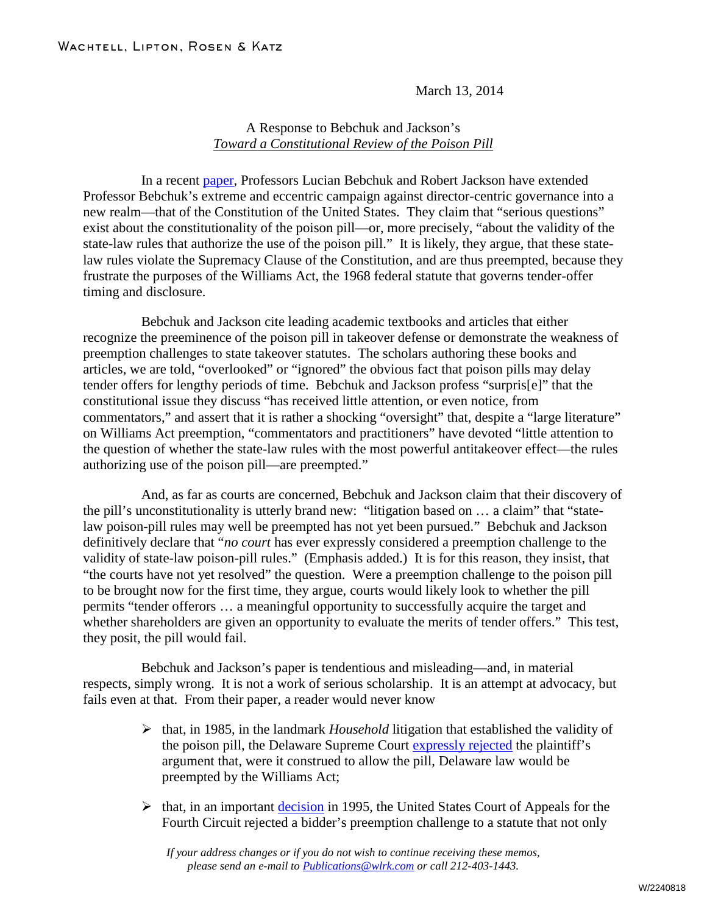March 13, 2014

## A Response to Bebchuk and Jackson's *Toward a Constitutional Review of the Poison Pill*

In a recent [paper,](https://blogs.law.harvard.edu/corpgov/2014/03/04/toward-a-constitutional-review-of-the-poison-pill/) Professors Lucian Bebchuk and Robert Jackson have extended Professor Bebchuk's extreme and eccentric campaign against director-centric governance into a new realm—that of the Constitution of the United States. They claim that "serious questions" exist about the constitutionality of the poison pill—or, more precisely, "about the validity of the state-law rules that authorize the use of the poison pill." It is likely, they argue, that these statelaw rules violate the Supremacy Clause of the Constitution, and are thus preempted, because they frustrate the purposes of the Williams Act, the 1968 federal statute that governs tender-offer timing and disclosure.

Bebchuk and Jackson cite leading academic textbooks and articles that either recognize the preeminence of the poison pill in takeover defense or demonstrate the weakness of preemption challenges to state takeover statutes. The scholars authoring these books and articles, we are told, "overlooked" or "ignored" the obvious fact that poison pills may delay tender offers for lengthy periods of time. Bebchuk and Jackson profess "surpris[e]" that the constitutional issue they discuss "has received little attention, or even notice, from commentators," and assert that it is rather a shocking "oversight" that, despite a "large literature" on Williams Act preemption, "commentators and practitioners" have devoted "little attention to the question of whether the state-law rules with the most powerful antitakeover effect—the rules authorizing use of the poison pill—are preempted."

And, as far as courts are concerned, Bebchuk and Jackson claim that their discovery of the pill's unconstitutionality is utterly brand new: "litigation based on … a claim" that "statelaw poison-pill rules may well be preempted has not yet been pursued." Bebchuk and Jackson definitively declare that "*no court* has ever expressly considered a preemption challenge to the validity of state-law poison-pill rules." (Emphasis added.) It is for this reason, they insist, that "the courts have not yet resolved" the question. Were a preemption challenge to the poison pill to be brought now for the first time, they argue, courts would likely look to whether the pill permits "tender offerors … a meaningful opportunity to successfully acquire the target and whether shareholders are given an opportunity to evaluate the merits of tender offers." This test, they posit, the pill would fail.

Bebchuk and Jackson's paper is tendentious and misleading—and, in material respects, simply wrong. It is not a work of serious scholarship. It is an attempt at advocacy, but fails even at that. From their paper, a reader would never know

- $\triangleright$  that, in 1985, in the landmark *Household* litigation that established the validity of the poison pill, the Delaware Supreme Court [expressly rejected](http://lawcorporations.wikia.com/wiki/Moran_v._Household_Intern.,_Inc.,) the plaintiff's argument that, were it construed to allow the pill, Delaware law would be preempted by the Williams Act;
- $\triangleright$  that, in an important [decision](http://caselaw.findlaw.com/us-4th-circuit/1321329.html) in 1995, the United States Court of Appeals for the Fourth Circuit rejected a bidder's preemption challenge to a statute that not only

*If your address changes or if you do not wish to continue receiving these memos, please send an e-mail to [Publications@wlrk.com](mailto:info@wlrk.com) or call 212-403-1443.*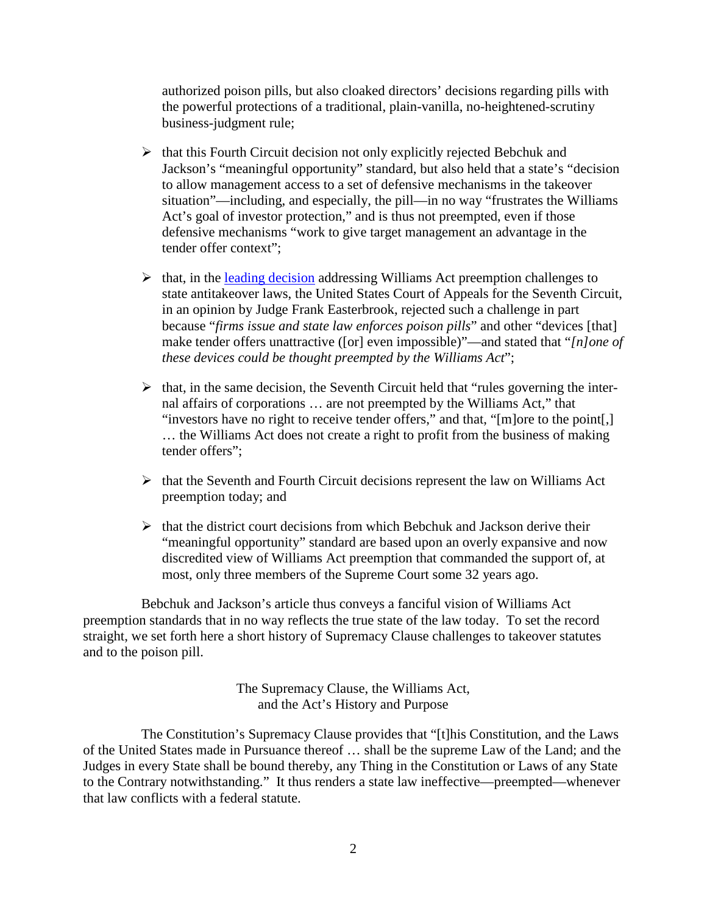authorized poison pills, but also cloaked directors' decisions regarding pills with the powerful protections of a traditional, plain-vanilla, no-heightened-scrutiny business-judgment rule;

- $\triangleright$  that this Fourth Circuit decision not only explicitly rejected Bebchuk and Jackson's "meaningful opportunity" standard, but also held that a state's "decision to allow management access to a set of defensive mechanisms in the takeover situation"—including, and especially, the pill—in no way "frustrates the Williams Act's goal of investor protection," and is thus not preempted, even if those defensive mechanisms "work to give target management an advantage in the tender offer context";
- $\triangleright$  that, in the [leading decision](http://openjurist.org/877/f2d/496/amanda-acquisition-corporation-v-universal-foods-corporation) addressing Williams Act preemption challenges to state antitakeover laws, the United States Court of Appeals for the Seventh Circuit, in an opinion by Judge Frank Easterbrook, rejected such a challenge in part because "*firms issue and state law enforces poison pills*" and other "devices [that] make tender offers unattractive ([or] even impossible)"—and stated that "*[n]one of these devices could be thought preempted by the Williams Act*";
- $\triangleright$  that, in the same decision, the Seventh Circuit held that "rules governing the internal affairs of corporations … are not preempted by the Williams Act," that "investors have no right to receive tender offers," and that, "[m]ore to the point[,] … the Williams Act does not create a right to profit from the business of making tender offers";
- $\triangleright$  that the Seventh and Fourth Circuit decisions represent the law on Williams Act preemption today; and
- $\triangleright$  that the district court decisions from which Bebchuk and Jackson derive their "meaningful opportunity" standard are based upon an overly expansive and now discredited view of Williams Act preemption that commanded the support of, at most, only three members of the Supreme Court some 32 years ago.

Bebchuk and Jackson's article thus conveys a fanciful vision of Williams Act preemption standards that in no way reflects the true state of the law today. To set the record straight, we set forth here a short history of Supremacy Clause challenges to takeover statutes and to the poison pill.

> The Supremacy Clause, the Williams Act, and the Act's History and Purpose

The Constitution's Supremacy Clause provides that "[t]his Constitution, and the Laws of the United States made in Pursuance thereof … shall be the supreme Law of the Land; and the Judges in every State shall be bound thereby, any Thing in the Constitution or Laws of any State to the Contrary notwithstanding." It thus renders a state law ineffective—preempted—whenever that law conflicts with a federal statute.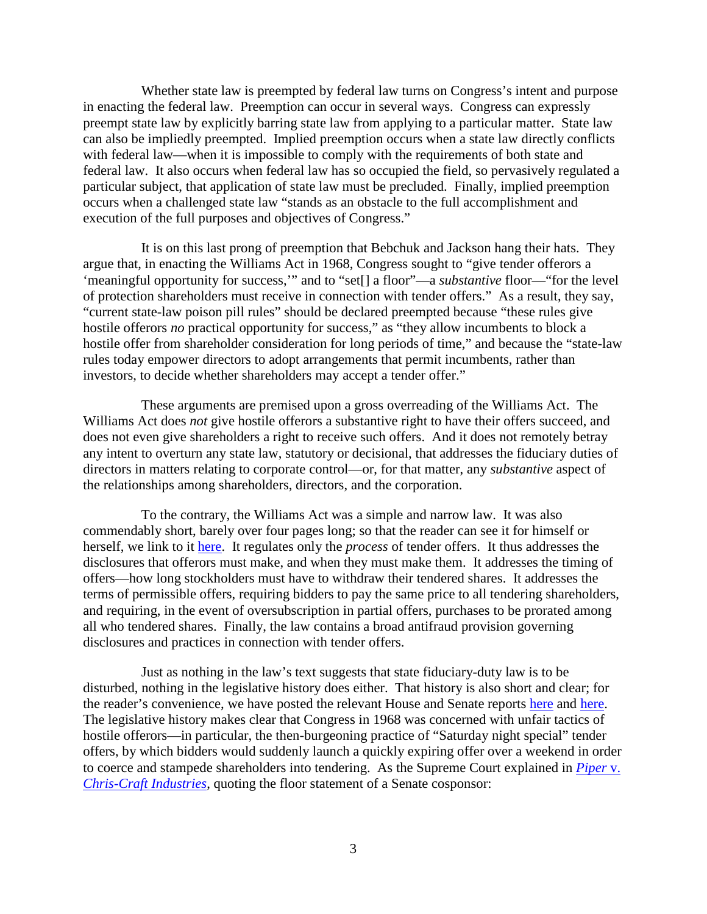Whether state law is preempted by federal law turns on Congress's intent and purpose in enacting the federal law. Preemption can occur in several ways. Congress can expressly preempt state law by explicitly barring state law from applying to a particular matter. State law can also be impliedly preempted. Implied preemption occurs when a state law directly conflicts with federal law—when it is impossible to comply with the requirements of both state and federal law. It also occurs when federal law has so occupied the field, so pervasively regulated a particular subject, that application of state law must be precluded. Finally, implied preemption occurs when a challenged state law "stands as an obstacle to the full accomplishment and execution of the full purposes and objectives of Congress."

It is on this last prong of preemption that Bebchuk and Jackson hang their hats. They argue that, in enacting the Williams Act in 1968, Congress sought to "give tender offerors a 'meaningful opportunity for success,'" and to "set[] a floor"—a *substantive* floor—"for the level of protection shareholders must receive in connection with tender offers." As a result, they say, "current state-law poison pill rules" should be declared preempted because "these rules give hostile offerors *no* practical opportunity for success," as "they allow incumbents to block a hostile offer from shareholder consideration for long periods of time," and because the "state-law rules today empower directors to adopt arrangements that permit incumbents, rather than investors, to decide whether shareholders may accept a tender offer."

These arguments are premised upon a gross overreading of the Williams Act. The Williams Act does *not* give hostile offerors a substantive right to have their offers succeed, and does not even give shareholders a right to receive such offers. And it does not remotely betray any intent to overturn any state law, statutory or decisional, that addresses the fiduciary duties of directors in matters relating to corporate control—or, for that matter, any *substantive* aspect of the relationships among shareholders, directors, and the corporation.

To the contrary, the Williams Act was a simple and narrow law. It was also commendably short, barely over four pages long; so that the reader can see it for himself or herself, we link to it [here.](http://bit.ly/1eoWXWF) It regulates only the *process* of tender offers. It thus addresses the disclosures that offerors must make, and when they must make them. It addresses the timing of offers—how long stockholders must have to withdraw their tendered shares. It addresses the terms of permissible offers, requiring bidders to pay the same price to all tendering shareholders, and requiring, in the event of oversubscription in partial offers, purchases to be prorated among all who tendered shares. Finally, the law contains a broad antifraud provision governing disclosures and practices in connection with tender offers.

Just as nothing in the law's text suggests that state fiduciary-duty law is to be disturbed, nothing in the legislative history does either. That history is also short and clear; for the reader's convenience, we have posted the relevant House and Senate reports [here](http://bit.ly/1cRqTdL) and [here.](http://bit.ly/1iwqWyW) The legislative history makes clear that Congress in 1968 was concerned with unfair tactics of hostile offerors—in particular, the then-burgeoning practice of "Saturday night special" tender offers, by which bidders would suddenly launch a quickly expiring offer over a weekend in order to coerce and stampede shareholders into tendering. As the Supreme Court explained in *[Piper](http://caselaw.lp.findlaw.com/scripts/getcase.pl?court=US&vol=430&invol=1)* v. *[Chris-Craft Industries](http://caselaw.lp.findlaw.com/scripts/getcase.pl?court=US&vol=430&invol=1)*, quoting the floor statement of a Senate cosponsor: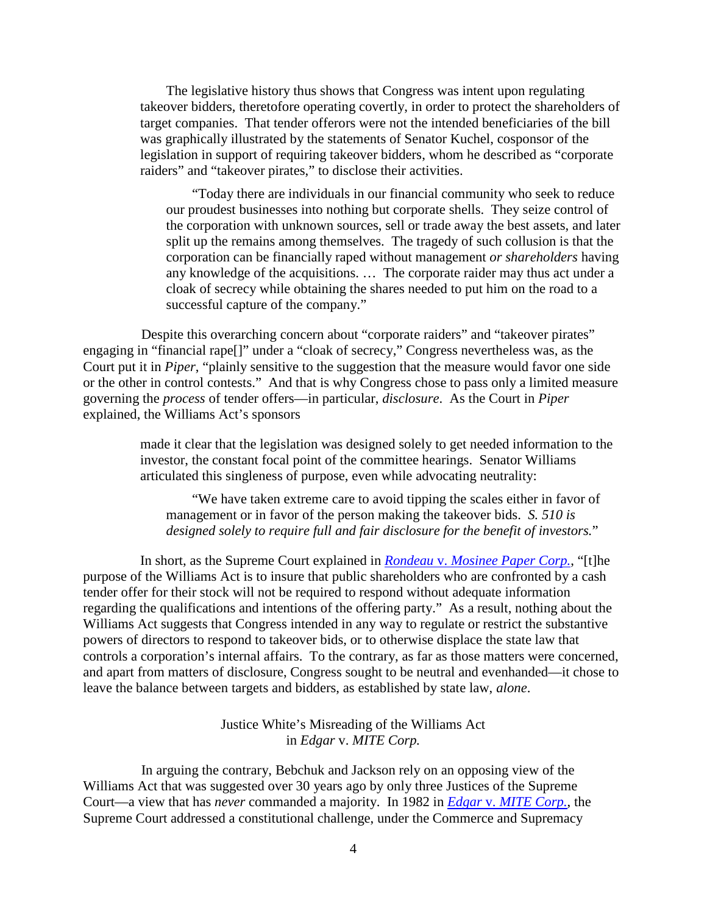The legislative history thus shows that Congress was intent upon regulating takeover bidders, theretofore operating covertly, in order to protect the shareholders of target companies. That tender offerors were not the intended beneficiaries of the bill was graphically illustrated by the statements of Senator Kuchel, cosponsor of the legislation in support of requiring takeover bidders, whom he described as "corporate raiders" and "takeover pirates," to disclose their activities.

"Today there are individuals in our financial community who seek to reduce our proudest businesses into nothing but corporate shells. They seize control of the corporation with unknown sources, sell or trade away the best assets, and later split up the remains among themselves. The tragedy of such collusion is that the corporation can be financially raped without management *or shareholders* having any knowledge of the acquisitions. … The corporate raider may thus act under a cloak of secrecy while obtaining the shares needed to put him on the road to a successful capture of the company."

Despite this overarching concern about "corporate raiders" and "takeover pirates" engaging in "financial rape[]" under a "cloak of secrecy," Congress nevertheless was, as the Court put it in *Piper*, "plainly sensitive to the suggestion that the measure would favor one side or the other in control contests." And that is why Congress chose to pass only a limited measure governing the *process* of tender offers—in particular, *disclosure*. As the Court in *Piper*  explained, the Williams Act's sponsors

> made it clear that the legislation was designed solely to get needed information to the investor, the constant focal point of the committee hearings. Senator Williams articulated this singleness of purpose, even while advocating neutrality:

"We have taken extreme care to avoid tipping the scales either in favor of management or in favor of the person making the takeover bids. *S. 510 is designed solely to require full and fair disclosure for the benefit of investors.*"

In short, as the Supreme Court explained in *Rondeau* v. *[Mosinee Paper Corp.](http://www.law.cornell.edu/supremecourt/text/422/49)*, "[t]he purpose of the Williams Act is to insure that public shareholders who are confronted by a cash tender offer for their stock will not be required to respond without adequate information regarding the qualifications and intentions of the offering party." As a result, nothing about the Williams Act suggests that Congress intended in any way to regulate or restrict the substantive powers of directors to respond to takeover bids, or to otherwise displace the state law that controls a corporation's internal affairs. To the contrary, as far as those matters were concerned, and apart from matters of disclosure, Congress sought to be neutral and evenhanded—it chose to leave the balance between targets and bidders, as established by state law, *alone*.

> Justice White's Misreading of the Williams Act in *Edgar* v. *MITE Corp.*

In arguing the contrary, Bebchuk and Jackson rely on an opposing view of the Williams Act that was suggested over 30 years ago by only three Justices of the Supreme Court—a view that has *never* commanded a majority. In 1982 in *Edgar* v. *[MITE Corp.](http://caselaw.lp.findlaw.com/scripts/getcase.pl?court=US&vol=457&invol=624)*, the Supreme Court addressed a constitutional challenge, under the Commerce and Supremacy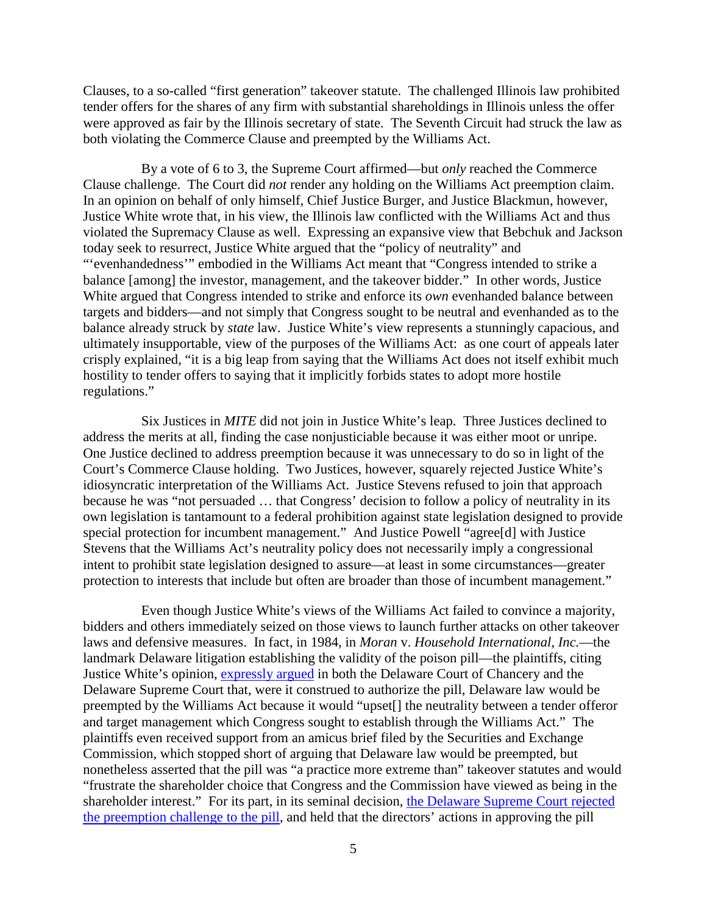Clauses, to a so-called "first generation" takeover statute. The challenged Illinois law prohibited tender offers for the shares of any firm with substantial shareholdings in Illinois unless the offer were approved as fair by the Illinois secretary of state. The Seventh Circuit had struck the law as both violating the Commerce Clause and preempted by the Williams Act.

By a vote of 6 to 3, the Supreme Court affirmed—but *only* reached the Commerce Clause challenge. The Court did *not* render any holding on the Williams Act preemption claim. In an opinion on behalf of only himself, Chief Justice Burger, and Justice Blackmun, however, Justice White wrote that, in his view, the Illinois law conflicted with the Williams Act and thus violated the Supremacy Clause as well. Expressing an expansive view that Bebchuk and Jackson today seek to resurrect, Justice White argued that the "policy of neutrality" and "'evenhandedness'" embodied in the Williams Act meant that "Congress intended to strike a balance [among] the investor, management, and the takeover bidder." In other words, Justice White argued that Congress intended to strike and enforce its *own* evenhanded balance between targets and bidders—and not simply that Congress sought to be neutral and evenhanded as to the balance already struck by *state* law. Justice White's view represents a stunningly capacious, and ultimately insupportable, view of the purposes of the Williams Act: as one court of appeals later crisply explained, "it is a big leap from saying that the Williams Act does not itself exhibit much hostility to tender offers to saying that it implicitly forbids states to adopt more hostile regulations."

Six Justices in *MITE* did not join in Justice White's leap. Three Justices declined to address the merits at all, finding the case nonjusticiable because it was either moot or unripe. One Justice declined to address preemption because it was unnecessary to do so in light of the Court's Commerce Clause holding. Two Justices, however, squarely rejected Justice White's idiosyncratic interpretation of the Williams Act. Justice Stevens refused to join that approach because he was "not persuaded … that Congress' decision to follow a policy of neutrality in its own legislation is tantamount to a federal prohibition against state legislation designed to provide special protection for incumbent management." And Justice Powell "agree[d] with Justice Stevens that the Williams Act's neutrality policy does not necessarily imply a congressional intent to prohibit state legislation designed to assure—at least in some circumstances—greater protection to interests that include but often are broader than those of incumbent management."

Even though Justice White's views of the Williams Act failed to convince a majority, bidders and others immediately seized on those views to launch further attacks on other takeover laws and defensive measures. In fact, in 1984, in *Moran* v. *Household International, Inc.*—the landmark Delaware litigation establishing the validity of the poison pill—the plaintiffs, citing Justice White's opinion, [expressly argued](http://bit.ly/1cNIdG8) in both the Delaware Court of Chancery and the Delaware Supreme Court that, were it construed to authorize the pill, Delaware law would be preempted by the Williams Act because it would "upset[] the neutrality between a tender offeror and target management which Congress sought to establish through the Williams Act." The plaintiffs even received support from an amicus brief filed by the Securities and Exchange Commission, which stopped short of arguing that Delaware law would be preempted, but nonetheless asserted that the pill was "a practice more extreme than" takeover statutes and would "frustrate the shareholder choice that Congress and the Commission have viewed as being in the shareholder interest." For its part, in its seminal decision, the Delaware Supreme Court rejected [the preemption challenge to the pill,](http://lawcorporations.wikia.com/wiki/Moran_v._Household_Intern.,_Inc.,) and held that the directors' actions in approving the pill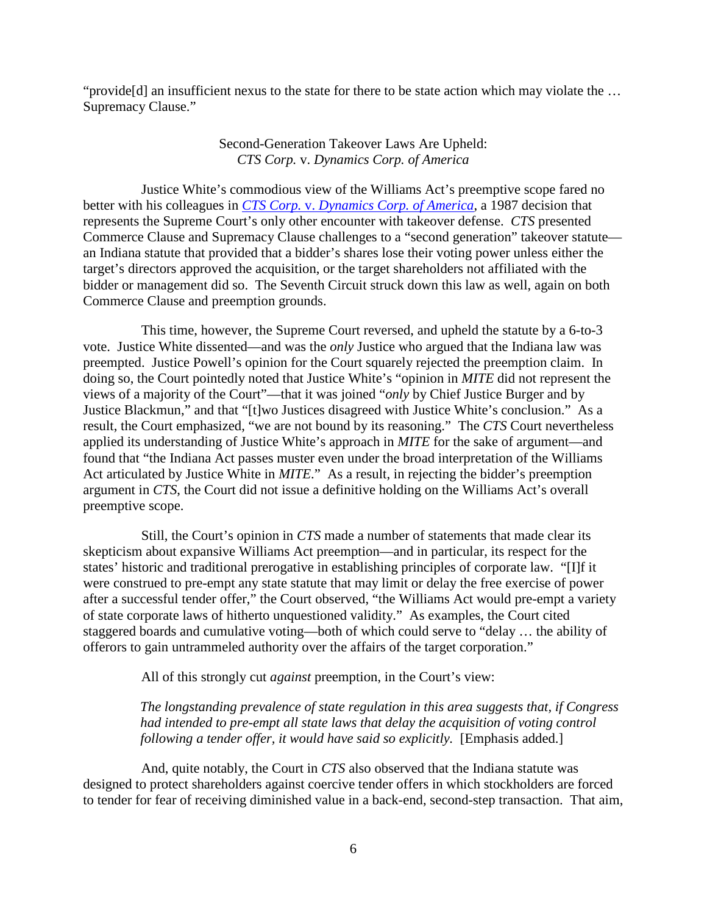"provide[d] an insufficient nexus to the state for there to be state action which may violate the … Supremacy Clause."

## Second-Generation Takeover Laws Are Upheld: *CTS Corp.* v. *Dynamics Corp. of America*

Justice White's commodious view of the Williams Act's preemptive scope fared no better with his colleagues in *CTS Corp.* v. *[Dynamics Corp. of America](http://caselaw.lp.findlaw.com/cgi-bin/getcase.pl?court=us&vol=481&invol=69)*, a 1987 decision that represents the Supreme Court's only other encounter with takeover defense. *CTS* presented Commerce Clause and Supremacy Clause challenges to a "second generation" takeover statute an Indiana statute that provided that a bidder's shares lose their voting power unless either the target's directors approved the acquisition, or the target shareholders not affiliated with the bidder or management did so. The Seventh Circuit struck down this law as well, again on both Commerce Clause and preemption grounds.

This time, however, the Supreme Court reversed, and upheld the statute by a 6-to-3 vote. Justice White dissented—and was the *only* Justice who argued that the Indiana law was preempted. Justice Powell's opinion for the Court squarely rejected the preemption claim. In doing so, the Court pointedly noted that Justice White's "opinion in *MITE* did not represent the views of a majority of the Court"—that it was joined "*only* by Chief Justice Burger and by Justice Blackmun," and that "[t]wo Justices disagreed with Justice White's conclusion." As a result, the Court emphasized, "we are not bound by its reasoning." The *CTS* Court nevertheless applied its understanding of Justice White's approach in *MITE* for the sake of argument—and found that "the Indiana Act passes muster even under the broad interpretation of the Williams Act articulated by Justice White in *MITE*." As a result, in rejecting the bidder's preemption argument in *CTS*, the Court did not issue a definitive holding on the Williams Act's overall preemptive scope.

Still, the Court's opinion in *CTS* made a number of statements that made clear its skepticism about expansive Williams Act preemption—and in particular, its respect for the states' historic and traditional prerogative in establishing principles of corporate law. "[I]f it were construed to pre-empt any state statute that may limit or delay the free exercise of power after a successful tender offer," the Court observed, "the Williams Act would pre-empt a variety of state corporate laws of hitherto unquestioned validity." As examples, the Court cited staggered boards and cumulative voting—both of which could serve to "delay … the ability of offerors to gain untrammeled authority over the affairs of the target corporation."

All of this strongly cut *against* preemption, in the Court's view:

*The longstanding prevalence of state regulation in this area suggests that, if Congress had intended to pre-empt all state laws that delay the acquisition of voting control following a tender offer, it would have said so explicitly.* [Emphasis added.]

And, quite notably, the Court in *CTS* also observed that the Indiana statute was designed to protect shareholders against coercive tender offers in which stockholders are forced to tender for fear of receiving diminished value in a back-end, second-step transaction. That aim,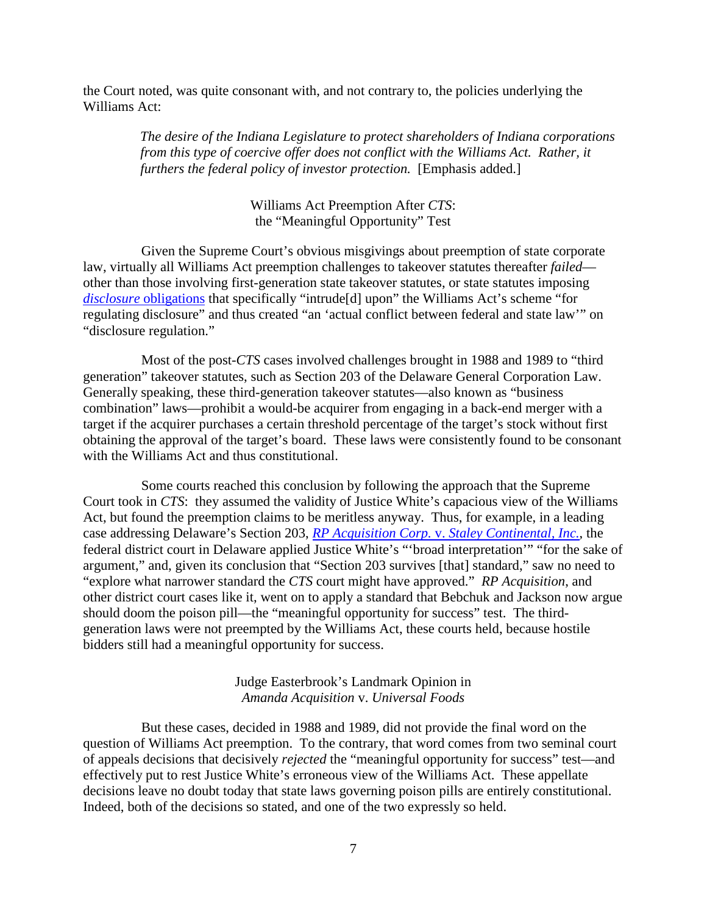the Court noted, was quite consonant with, and not contrary to, the policies underlying the Williams Act:

> *The desire of the Indiana Legislature to protect shareholders of Indiana corporations from this type of coercive offer does not conflict with the Williams Act. Rather, it furthers the federal policy of investor protection.* [Emphasis added.]

> > Williams Act Preemption After *CTS*: the "Meaningful Opportunity" Test

Given the Supreme Court's obvious misgivings about preemption of state corporate law, virtually all Williams Act preemption challenges to takeover statutes thereafter *failed* other than those involving first-generation state takeover statutes, or state statutes imposing *disclosure* [obligations](http://openjurist.org/839/f2d/837/hyde-park-partners-lp-v-j-connolly-hyde-park-partners-lp) that specifically "intrude[d] upon" the Williams Act's scheme "for regulating disclosure" and thus created "an 'actual conflict between federal and state law'" on "disclosure regulation."

Most of the post-*CTS* cases involved challenges brought in 1988 and 1989 to "third generation" takeover statutes, such as Section 203 of the Delaware General Corporation Law. Generally speaking, these third-generation takeover statutes—also known as "business combination" laws—prohibit a would-be acquirer from engaging in a back-end merger with a target if the acquirer purchases a certain threshold percentage of the target's stock without first obtaining the approval of the target's board. These laws were consistently found to be consonant with the Williams Act and thus constitutional.

Some courts reached this conclusion by following the approach that the Supreme Court took in *CTS*: they assumed the validity of Justice White's capacious view of the Williams Act, but found the preemption claims to be meritless anyway. Thus, for example, in a leading case addressing Delaware's Section 203, *RP Acquisition Corp.* v. *[Staley Continental, Inc.](http://www.leagle.com/decision/19881162686FSupp476_11071)*, the federal district court in Delaware applied Justice White's "'broad interpretation'" "for the sake of argument," and, given its conclusion that "Section 203 survives [that] standard," saw no need to "explore what narrower standard the *CTS* court might have approved." *RP Acquisition*, and other district court cases like it, went on to apply a standard that Bebchuk and Jackson now argue should doom the poison pill—the "meaningful opportunity for success" test. The thirdgeneration laws were not preempted by the Williams Act, these courts held, because hostile bidders still had a meaningful opportunity for success.

> Judge Easterbrook's Landmark Opinion in *Amanda Acquisition* v. *Universal Foods*

But these cases, decided in 1988 and 1989, did not provide the final word on the question of Williams Act preemption. To the contrary, that word comes from two seminal court of appeals decisions that decisively *rejected* the "meaningful opportunity for success" test—and effectively put to rest Justice White's erroneous view of the Williams Act. These appellate decisions leave no doubt today that state laws governing poison pills are entirely constitutional. Indeed, both of the decisions so stated, and one of the two expressly so held.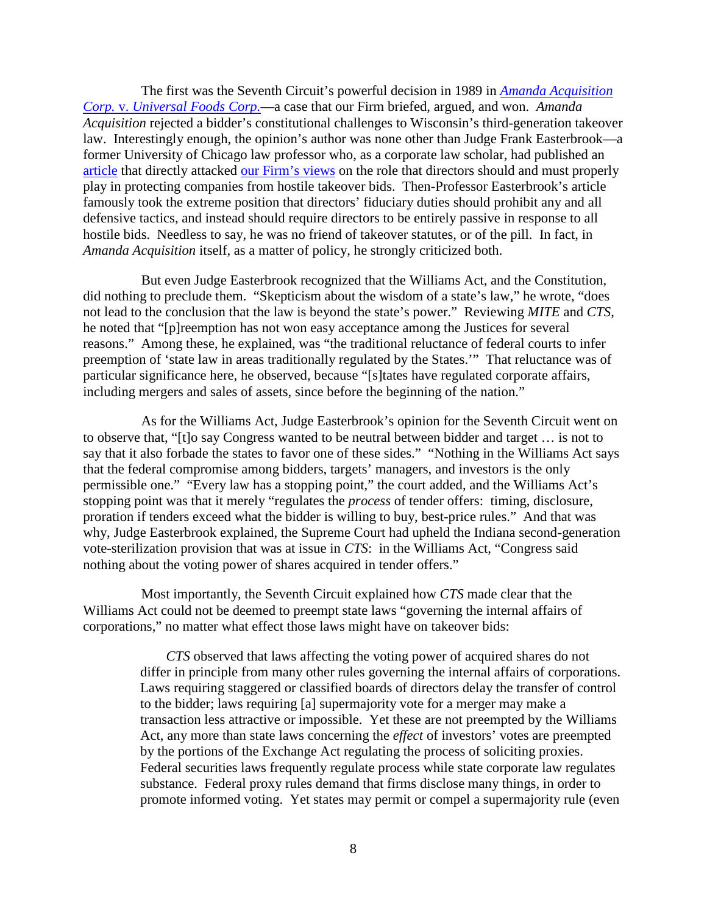The first was the Seventh Circuit's powerful decision in 1989 in *[Amanda Acquisition](http://openjurist.org/877/f2d/496/amanda-acquisition-corporation-v-universal-foods-corporation)  Corp.* v. *[Universal Foods Corp.](http://openjurist.org/877/f2d/496/amanda-acquisition-corporation-v-universal-foods-corporation)*—a case that our Firm briefed, argued, and won. *Amanda Acquisition* rejected a bidder's constitutional challenges to Wisconsin's third-generation takeover law. Interestingly enough, the opinion's author was none other than Judge Frank Easterbrook—a former University of Chicago law professor who, as a corporate law scholar, had published an [article](http://chicagounbound.uchicago.edu/cgi/viewcontent.cgi?article=3067&context=journal_articles) that directly attacked [our Firm's views](http://bit.ly/1epeG0r) on the role that directors should and must properly play in protecting companies from hostile takeover bids. Then-Professor Easterbrook's article famously took the extreme position that directors' fiduciary duties should prohibit any and all defensive tactics, and instead should require directors to be entirely passive in response to all hostile bids. Needless to say, he was no friend of takeover statutes, or of the pill. In fact, in *Amanda Acquisition* itself, as a matter of policy, he strongly criticized both.

But even Judge Easterbrook recognized that the Williams Act, and the Constitution, did nothing to preclude them. "Skepticism about the wisdom of a state's law," he wrote, "does not lead to the conclusion that the law is beyond the state's power." Reviewing *MITE* and *CTS*, he noted that "[p]reemption has not won easy acceptance among the Justices for several reasons." Among these, he explained, was "the traditional reluctance of federal courts to infer preemption of 'state law in areas traditionally regulated by the States.'" That reluctance was of particular significance here, he observed, because "[s]tates have regulated corporate affairs, including mergers and sales of assets, since before the beginning of the nation."

As for the Williams Act, Judge Easterbrook's opinion for the Seventh Circuit went on to observe that, "[t]o say Congress wanted to be neutral between bidder and target … is not to say that it also forbade the states to favor one of these sides." "Nothing in the Williams Act says that the federal compromise among bidders, targets' managers, and investors is the only permissible one." "Every law has a stopping point," the court added, and the Williams Act's stopping point was that it merely "regulates the *process* of tender offers: timing, disclosure, proration if tenders exceed what the bidder is willing to buy, best-price rules." And that was why, Judge Easterbrook explained, the Supreme Court had upheld the Indiana second-generation vote-sterilization provision that was at issue in *CTS*: in the Williams Act, "Congress said nothing about the voting power of shares acquired in tender offers."

Most importantly, the Seventh Circuit explained how *CTS* made clear that the Williams Act could not be deemed to preempt state laws "governing the internal affairs of corporations," no matter what effect those laws might have on takeover bids:

> *CTS* observed that laws affecting the voting power of acquired shares do not differ in principle from many other rules governing the internal affairs of corporations. Laws requiring staggered or classified boards of directors delay the transfer of control to the bidder; laws requiring [a] supermajority vote for a merger may make a transaction less attractive or impossible. Yet these are not preempted by the Williams Act, any more than state laws concerning the *effect* of investors' votes are preempted by the portions of the Exchange Act regulating the process of soliciting proxies. Federal securities laws frequently regulate process while state corporate law regulates substance. Federal proxy rules demand that firms disclose many things, in order to promote informed voting. Yet states may permit or compel a supermajority rule (even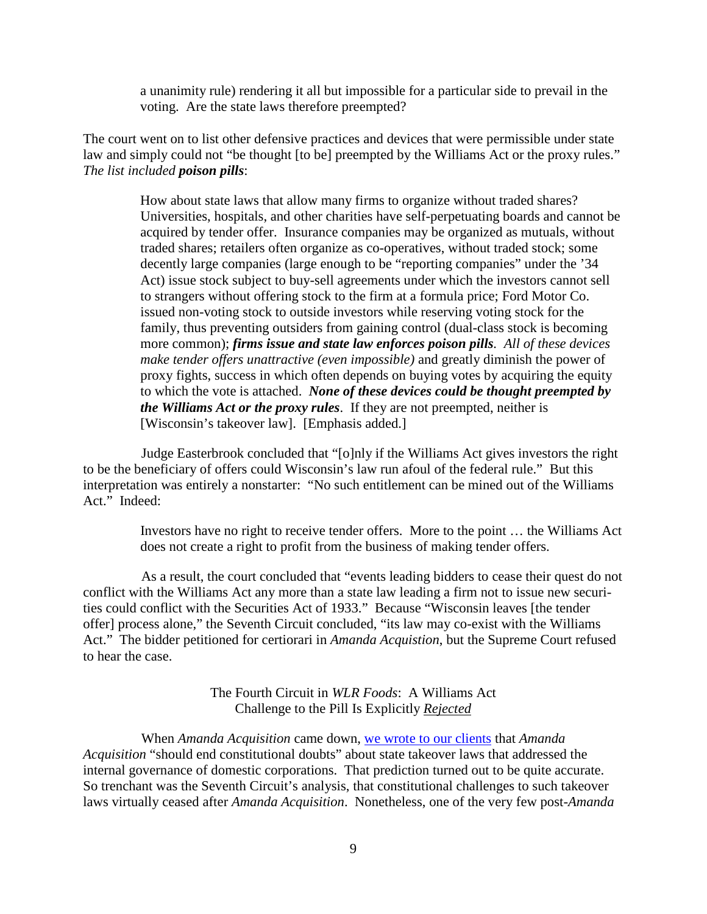a unanimity rule) rendering it all but impossible for a particular side to prevail in the voting. Are the state laws therefore preempted?

The court went on to list other defensive practices and devices that were permissible under state law and simply could not "be thought [to be] preempted by the Williams Act or the proxy rules." *The list included poison pills*:

> How about state laws that allow many firms to organize without traded shares? Universities, hospitals, and other charities have self-perpetuating boards and cannot be acquired by tender offer. Insurance companies may be organized as mutuals, without traded shares; retailers often organize as co-operatives, without traded stock; some decently large companies (large enough to be "reporting companies" under the '34 Act) issue stock subject to buy-sell agreements under which the investors cannot sell to strangers without offering stock to the firm at a formula price; Ford Motor Co. issued non-voting stock to outside investors while reserving voting stock for the family, thus preventing outsiders from gaining control (dual-class stock is becoming more common); *firms issue and state law enforces poison pills. All of these devices make tender offers unattractive (even impossible)* and greatly diminish the power of proxy fights, success in which often depends on buying votes by acquiring the equity to which the vote is attached. *None of these devices could be thought preempted by the Williams Act or the proxy rules*. If they are not preempted, neither is [Wisconsin's takeover law]. [Emphasis added.]

Judge Easterbrook concluded that "[o]nly if the Williams Act gives investors the right to be the beneficiary of offers could Wisconsin's law run afoul of the federal rule." But this interpretation was entirely a nonstarter: "No such entitlement can be mined out of the Williams Act." Indeed:

> Investors have no right to receive tender offers. More to the point … the Williams Act does not create a right to profit from the business of making tender offers.

As a result, the court concluded that "events leading bidders to cease their quest do not conflict with the Williams Act any more than a state law leading a firm not to issue new securities could conflict with the Securities Act of 1933." Because "Wisconsin leaves [the tender offer] process alone," the Seventh Circuit concluded, "its law may co-exist with the Williams Act." The bidder petitioned for certiorari in *Amanda Acquistion*, but the Supreme Court refused to hear the case.

> The Fourth Circuit in *WLR Foods*: A Williams Act Challenge to the Pill Is Explicitly *Rejected*

When *Amanda Acquisition* came down, [we wrote to our clients](http://www.wlrk.com/webdocs/wlrknew/WLRKMemos/WLRK/WLRK.19622.89.pdf) that *Amanda Acquisition* "should end constitutional doubts" about state takeover laws that addressed the internal governance of domestic corporations. That prediction turned out to be quite accurate. So trenchant was the Seventh Circuit's analysis, that constitutional challenges to such takeover laws virtually ceased after *Amanda Acquisition*. Nonetheless, one of the very few post-*Amanda*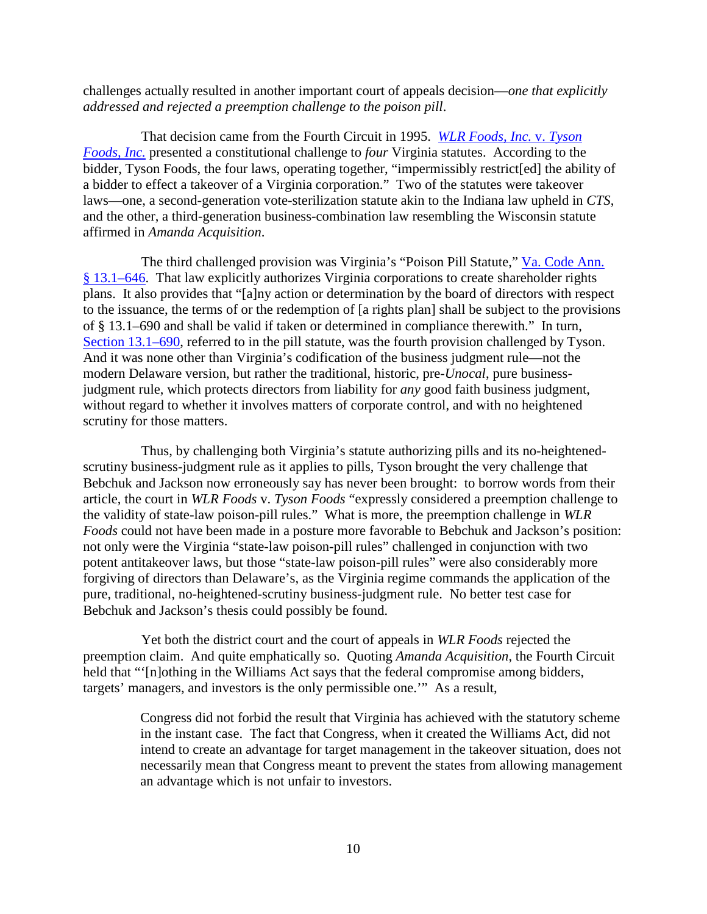challenges actually resulted in another important court of appeals decision—*one that explicitly addressed and rejected a preemption challenge to the poison pill*.

That decision came from the Fourth Circuit in 1995. *[WLR Foods, Inc.](http://caselaw.findlaw.com/us-4th-circuit/1321329.html)* v. *Tyson [Foods, Inc.](http://caselaw.findlaw.com/us-4th-circuit/1321329.html)* presented a constitutional challenge to *four* Virginia statutes. According to the bidder, Tyson Foods, the four laws, operating together, "impermissibly restrict[ed] the ability of a bidder to effect a takeover of a Virginia corporation." Two of the statutes were takeover laws—one, a second-generation vote-sterilization statute akin to the Indiana law upheld in *CTS*, and the other, a third-generation business-combination law resembling the Wisconsin statute affirmed in *Amanda Acquisition*.

The third challenged provision was Virginia's "Poison Pill Statute," Va. Code Ann. § [13.1–646.](http://leg1.state.va.us/cgi-bin/legp504.exe?000+cod+13.1-646) That law explicitly authorizes Virginia corporations to create shareholder rights plans. It also provides that "[a]ny action or determination by the board of directors with respect to the issuance, the terms of or the redemption of [a rights plan] shall be subject to the provisions of § 13.1–690 and shall be valid if taken or determined in compliance therewith." In turn, [Section 13.1–690,](http://leg1.state.va.us/cgi-bin/legp504.exe?000+cod+13.1-690) referred to in the pill statute, was the fourth provision challenged by Tyson. And it was none other than Virginia's codification of the business judgment rule—not the modern Delaware version, but rather the traditional, historic, pre-*Unocal*, pure businessjudgment rule, which protects directors from liability for *any* good faith business judgment, without regard to whether it involves matters of corporate control, and with no heightened scrutiny for those matters.

Thus, by challenging both Virginia's statute authorizing pills and its no-heightenedscrutiny business-judgment rule as it applies to pills, Tyson brought the very challenge that Bebchuk and Jackson now erroneously say has never been brought: to borrow words from their article, the court in *WLR Foods* v. *Tyson Foods* "expressly considered a preemption challenge to the validity of state-law poison-pill rules." What is more, the preemption challenge in *WLR Foods* could not have been made in a posture more favorable to Bebchuk and Jackson's position: not only were the Virginia "state-law poison-pill rules" challenged in conjunction with two potent antitakeover laws, but those "state-law poison-pill rules" were also considerably more forgiving of directors than Delaware's, as the Virginia regime commands the application of the pure, traditional, no-heightened-scrutiny business-judgment rule. No better test case for Bebchuk and Jackson's thesis could possibly be found.

Yet both the district court and the court of appeals in *WLR Foods* rejected the preemption claim. And quite emphatically so. Quoting *Amanda Acquisition*, the Fourth Circuit held that "'[n]othing in the Williams Act says that the federal compromise among bidders, targets' managers, and investors is the only permissible one.'" As a result,

> Congress did not forbid the result that Virginia has achieved with the statutory scheme in the instant case. The fact that Congress, when it created the Williams Act, did not intend to create an advantage for target management in the takeover situation, does not necessarily mean that Congress meant to prevent the states from allowing management an advantage which is not unfair to investors.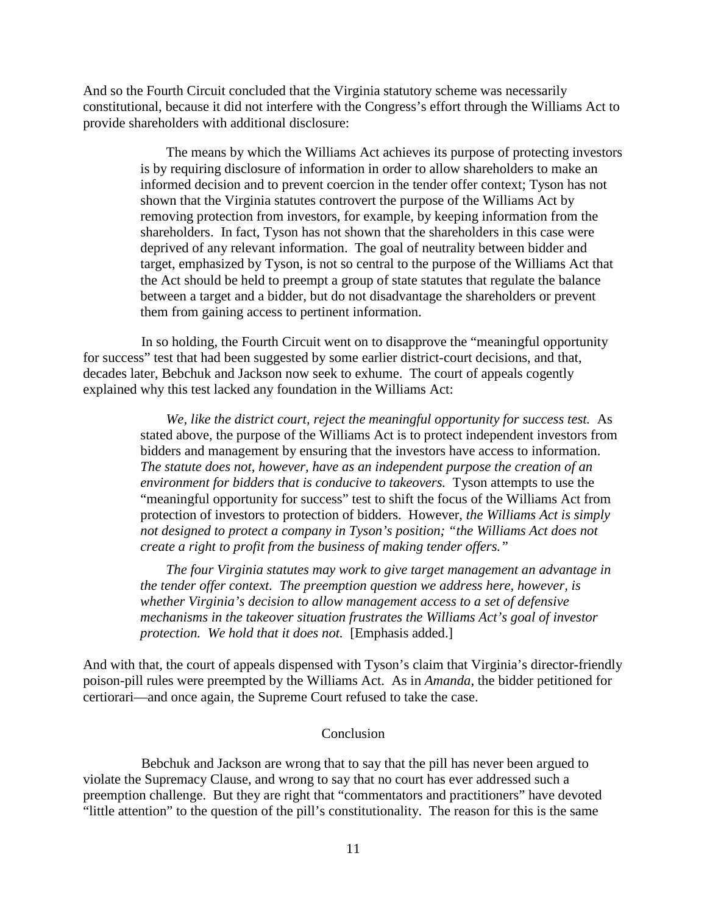And so the Fourth Circuit concluded that the Virginia statutory scheme was necessarily constitutional, because it did not interfere with the Congress's effort through the Williams Act to provide shareholders with additional disclosure:

> The means by which the Williams Act achieves its purpose of protecting investors is by requiring disclosure of information in order to allow shareholders to make an informed decision and to prevent coercion in the tender offer context; Tyson has not shown that the Virginia statutes controvert the purpose of the Williams Act by removing protection from investors, for example, by keeping information from the shareholders. In fact, Tyson has not shown that the shareholders in this case were deprived of any relevant information. The goal of neutrality between bidder and target, emphasized by Tyson, is not so central to the purpose of the Williams Act that the Act should be held to preempt a group of state statutes that regulate the balance between a target and a bidder, but do not disadvantage the shareholders or prevent them from gaining access to pertinent information.

In so holding, the Fourth Circuit went on to disapprove the "meaningful opportunity for success" test that had been suggested by some earlier district-court decisions, and that, decades later, Bebchuk and Jackson now seek to exhume. The court of appeals cogently explained why this test lacked any foundation in the Williams Act:

> *We, like the district court, reject the meaningful opportunity for success test.* As stated above, the purpose of the Williams Act is to protect independent investors from bidders and management by ensuring that the investors have access to information. *The statute does not, however, have as an independent purpose the creation of an environment for bidders that is conducive to takeovers.* Tyson attempts to use the "meaningful opportunity for success" test to shift the focus of the Williams Act from protection of investors to protection of bidders. However, *the Williams Act is simply not designed to protect a company in Tyson's position; "the Williams Act does not create a right to profit from the business of making tender offers."*

*The four Virginia statutes may work to give target management an advantage in the tender offer context. The preemption question we address here, however, is whether Virginia's decision to allow management access to a set of defensive mechanisms in the takeover situation frustrates the Williams Act's goal of investor protection. We hold that it does not.* [Emphasis added.]

And with that, the court of appeals dispensed with Tyson's claim that Virginia's director-friendly poison-pill rules were preempted by the Williams Act. As in *Amanda*, the bidder petitioned for certiorari—and once again, the Supreme Court refused to take the case.

## Conclusion

Bebchuk and Jackson are wrong that to say that the pill has never been argued to violate the Supremacy Clause, and wrong to say that no court has ever addressed such a preemption challenge. But they are right that "commentators and practitioners" have devoted "little attention" to the question of the pill's constitutionality. The reason for this is the same